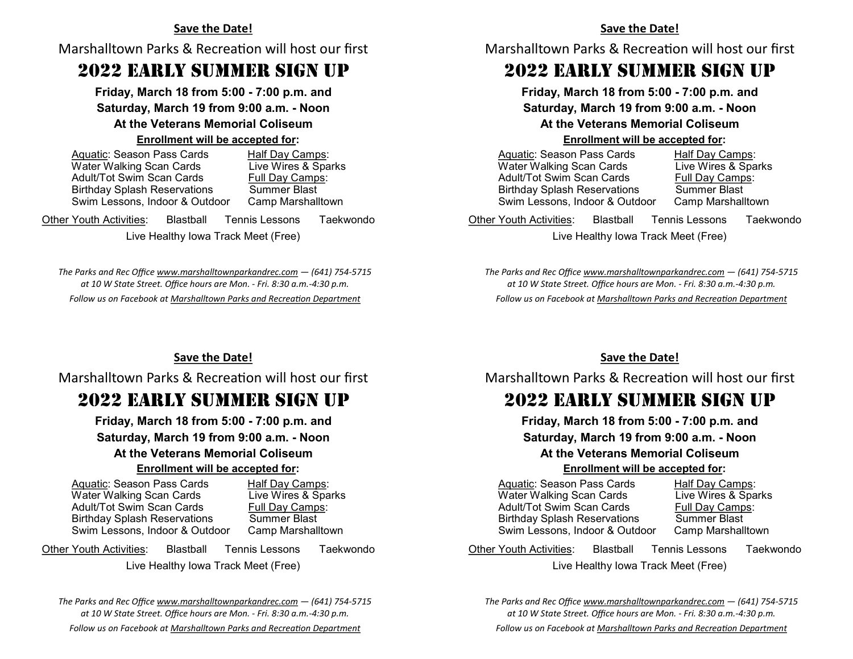### **Save the Date!**

Marshalltown Parks & Recreation will host our first

# 2022 EARLY SUMMER SIGN UP

**Friday, March 18 from 5:00 - 7:00 p.m. and Saturday, March 19 from 9:00 a.m. - Noon At the Veterans Memorial Coliseum Enrollment will be accepted for:**

| Aquatic: Season Pass Cards          | Half Day Camps:     |
|-------------------------------------|---------------------|
| Water Walking Scan Cards            | Live Wires & Sparks |
| <b>Adult/Tot Swim Scan Cards</b>    | Full Day Camps:     |
| <b>Birthday Splash Reservations</b> | <b>Summer Blast</b> |
| Swim Lessons, Indoor & Outdoor      | Camp Marshalltown   |
|                                     |                     |

Other Youth Activities: Blastball Tennis Lessons Taekwondo

Live Healthy Iowa Track Meet (Free)

*The Parks and Rec Office [www.marshalltownparkandrec.com](https://www.marshalltown-ia.gov/205/Parks-Recreation) — (641) 754-5715 at 10 W State Street. Office hours are Mon. - Fri. 8:30 a.m.-4:30 p.m. Follow us on Facebook at [Marshalltown Parks and Recreation Department](https://www.facebook.com/MarshalltownParksandRecreation/)*

#### **Save the Date!**

Marshalltown Parks & Recreation will host our first

# 2022 EARLY SUMMER SIGN UP

**Friday, March 18 from 5:00 - 7:00 p.m. and Saturday, March 19 from 9:00 a.m. - Noon At the Veterans Memorial Coliseum Enrollment will be accepted for:**

| Aquatic: Season Pass Cards          |                                     | Half Day Camps:     |  |
|-------------------------------------|-------------------------------------|---------------------|--|
| Water Walking Scan Cards            |                                     | Live Wires & Sparks |  |
| <b>Adult/Tot Swim Scan Cards</b>    |                                     | Full Day Camps:     |  |
| <b>Birthday Splash Reservations</b> | <b>Summer Blast</b>                 |                     |  |
| Swim Lessons, Indoor & Outdoor      |                                     | Camp Marshalltown   |  |
| <b>Other Youth Activities:</b>      | <b>Blastball</b> Tennis Lessons     | Taekwondo           |  |
|                                     | Live Healthy Iowa Track Meet (Free) |                     |  |
|                                     |                                     |                     |  |

*The Parks and Rec Office [www.marshalltownparkandrec.com](https://www.marshalltown-ia.gov/205/Parks-Recreation) — (641) 754-5715 at 10 W State Street. Office hours are Mon. - Fri. 8:30 a.m.-4:30 p.m. Follow us on Facebook at [Marshalltown Parks and Recreation Department](https://www.facebook.com/MarshalltownParksandRecreation/)*

## **Save the Date!**

Marshalltown Parks & Recreation will host our first

# 2022 EARLY SUMMER SIGN UP

**Friday, March 18 from 5:00 - 7:00 p.m. and Saturday, March 19 from 9:00 a.m. - Noon At the Veterans Memorial Coliseum**

# **Enrollment will be accepted for:**

 Aquatic: Season Pass Cards Half Day Camps: Water Walking Scan Cards<br>
Adult/Tot Swim Scan Cards Full Day Camps: Adult/Tot Swim Scan Cards Birthday Splash Reservations Summer Blast Swim Lessons, Indoor & Outdoor Camp Marshalltown

Other Youth Activities: Blastball Tennis Lessons Taekwondo

Live Healthy Iowa Track Meet (Free)

*The Parks and Rec Office [www.marshalltownparkandrec.com](https://www.marshalltown-ia.gov/205/Parks-Recreation) — (641) 754-5715 at 10 W State Street. Office hours are Mon. - Fri. 8:30 a.m.-4:30 p.m. Follow us on Facebook at [Marshalltown Parks and Recreation Department](https://www.facebook.com/MarshalltownParksandRecreation/)*

## **Save the Date!**

Marshalltown Parks & Recreation will host our first

# 2022 EARLY SUMMER SIGN UP

**Friday, March 18 from 5:00 - 7:00 p.m. and Saturday, March 19 from 9:00 a.m. - Noon**

## **At the Veterans Memorial Coliseum**

#### **Enrollment will be accepted for:**

 Aquatic: Season Pass Cards Half Day Camps: Water Walking Scan Cards<br>
Adult/Tot Swim Scan Cards<br>
Full Day Camps: Adult/Tot Swim Scan Cards Birthday Splash Reservations Summer Blast Swim Lessons, Indoor & Outdoor Camp Marshalltown

Other Youth Activities: Blastball Tennis Lessons Taekwondo Live Healthy Iowa Track Meet (Free)

*The Parks and Rec Office [www.marshalltownparkandrec.com](https://www.marshalltown-ia.gov/205/Parks-Recreation) — (641) 754-5715 at 10 W State Street. Office hours are Mon. - Fri. 8:30 a.m.-4:30 p.m.*

*Follow us on Facebook at [Marshalltown Parks and Recreation Department](https://www.facebook.com/MarshalltownParksandRecreation/)*